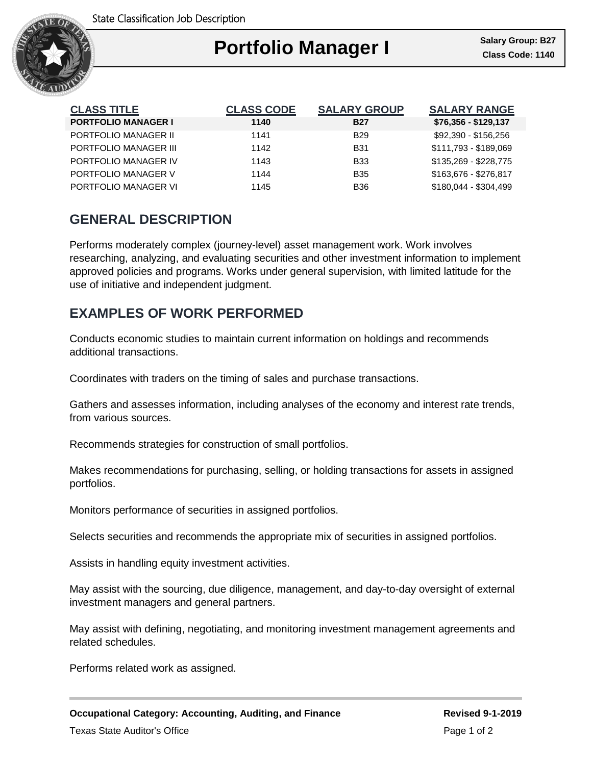

## Ι **Portfolio Manager I** Salary Group: B27

| <b>CLASS TITLE</b>         | <b>CLASS CODE</b> | <b>SALARY GROUP</b> | <b>SALARY RANGE</b>   |
|----------------------------|-------------------|---------------------|-----------------------|
| <b>PORTFOLIO MANAGER I</b> | 1140              | <b>B27</b>          | \$76,356 - \$129,137  |
| PORTFOLIO MANAGER II       | 1141              | B <sub>29</sub>     | \$92,390 - \$156,256  |
| PORTFOLIO MANAGER III      | 1142              | <b>B31</b>          | \$111,793 - \$189,069 |
| PORTFOLIO MANAGER IV       | 1143              | <b>B33</b>          | \$135,269 - \$228,775 |
| PORTFOLIO MANAGER V        | 1144              | <b>B</b> 35         | \$163,676 - \$276,817 |
| PORTFOLIO MANAGER VI       | 1145              | <b>B36</b>          | \$180,044 - \$304,499 |

## **GENERAL DESCRIPTION**

Performs moderately complex (journey-level) asset management work. Work involves researching, analyzing, and evaluating securities and other investment information to implement approved policies and programs. Works under general supervision, with limited latitude for the use of initiative and independent judgment.

## **EXAMPLES OF WORK PERFORMED**

Conducts economic studies to maintain current information on holdings and recommends additional transactions.

Coordinates with traders on the timing of sales and purchase transactions.

Gathers and assesses information, including analyses of the economy and interest rate trends, from various sources.

Recommends strategies for construction of small portfolios.

Makes recommendations for purchasing, selling, or holding transactions for assets in assigned portfolios.

Monitors performance of securities in assigned portfolios.

Selects securities and recommends the appropriate mix of securities in assigned portfolios.

Assists in handling equity investment activities.

May assist with the sourcing, due diligence, management, and day-to-day oversight of external investment managers and general partners.

May assist with defining, negotiating, and monitoring investment management agreements and related schedules.

Performs related work as assigned.